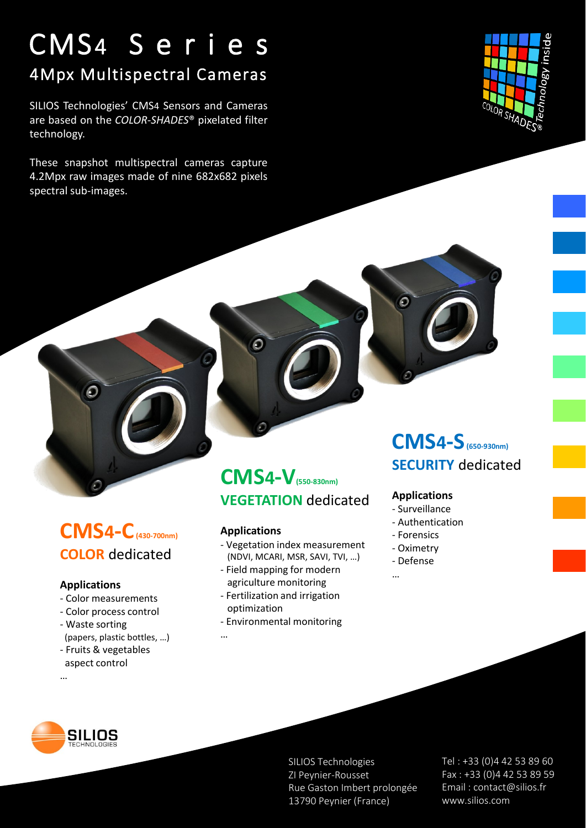## CMS4 S e r i e s 4Mpx Multispectral Cameras

SILIOS Technologies' CMS4 Sensors and Cameras are based on the *COLOR-SHADES*® pixelated filter technology.

These snapshot multispectral cameras capture 4.2Mpx raw images made of nine 682x682 pixels spectral sub-images.



## **CMS4-C(430-700nm) COLOR** dedicated

#### **Applications**

- Color measurements
- Color process control
- Waste sorting (papers, plastic bottles, …)
- Fruits & vegetables
- aspect control …

### **CMS4-V(550-830nm) VEGETATION** dedicated

#### **Applications**

…

- Vegetation index measurement (NDVI, MCARI, MSR, SAVI, TVI, …)
- Field mapping for modern agriculture monitoring
- Fertilization and irrigation optimization
- Environmental monitoring

### **CMS4-S(650-930nm) SECURITY** dedicated

#### **Applications**

- Surveillance
- Authentication
- Forensics
- Oximetry
- Defense

…

SILIOS

SILIOS Technologies ZI Peynier-Rousset Rue Gaston Imbert prolongée 13790 Peynier (France)

Tel : +33 (0)4 42 53 89 60 Fax : +33 (0)4 42 53 89 59 Email : contact@silios.fr www.silios.com